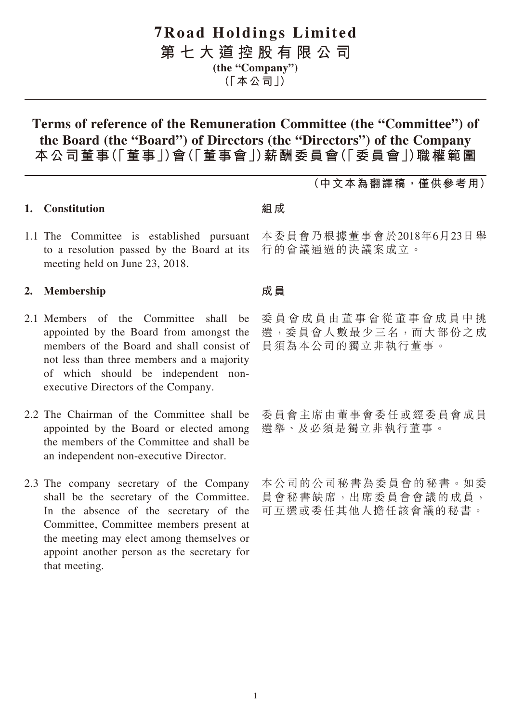# **7Road Holdings Limited**

**第七大道控股有限公司 (the "Company")**

**(「本公司」)**

# **Terms of reference of the Remuneration Committee (the "Committee") of the Board (the "Board") of Directors (the "Directors") of the Company 本公司董事(「董事」)會(「董事會」)薪酬委員會(「委員會」)職權範圍**

### **(中文本為翻譯稿,僅供參考用)**

#### **1. Constitution**

1.1 The Committee is established pursuant to a resolution passed by the Board at its meeting held on June 23, 2018.

#### **2. Membership**

- 2.1 Members of the Committee shall be appointed by the Board from amongst the members of the Board and shall consist of not less than three members and a majority of which should be independent nonexecutive Directors of the Company.
- 2.2 The Chairman of the Committee shall be appointed by the Board or elected among the members of the Committee and shall be an independent non-executive Director.
- 2.3 The company secretary of the Company shall be the secretary of the Committee. In the absence of the secretary of the Committee, Committee members present at the meeting may elect among themselves or appoint another person as the secretary for that meeting.

#### **組成**

本委員會乃根據董事會於2018年6月23日舉 行的會議通過的決議案成立。

#### **成員**

委員會成員由董事會從董事會成員中挑 選,委員會人數最少三名,而大部份之成 員須為本公司的獨立非執行董事。

委員會主席由董事會委任或經委員會成員 選舉、及必須是獨立非執行董事。

本公司的公司秘書為委員會的秘書。如委 員會秘書缺席,出席委員會會議的成員, 可互選或委任其他人擔任該會議的秘書。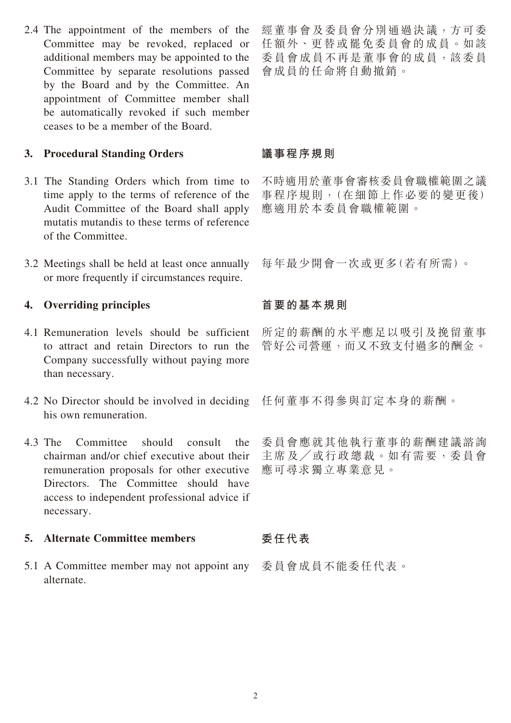2.4 The appointment of the members of the Committee may be revoked, replaced or additional members may be appointed to the Committee by separate resolutions passed by the Board and by the Committee. An appointment of Committee member shall be automatically revoked if such member ceases to be a member of the Board.

### **3. Procedural Standing Orders**

- 3.1 The Standing Orders which from time to time apply to the terms of reference of the Audit Committee of the Board shall apply mutatis mutandis to these terms of reference of the Committee.
- 3.2 Meetings shall be held at least once annually or more frequently if circumstances require.

## **4. Overriding principles**

- 4.1 Remuneration levels should be sufficient to attract and retain Directors to run the Company successfully without paying more than necessary.
- 4.2 No Director should be involved in deciding his own remuneration.
- 4.3 The Committee should consult the chairman and/or chief executive about their remuneration proposals for other executive Directors. The Committee should have access to independent professional advice if necessary.

### **5. Alternate Committee members**

5.1 A Committee member may not appoint any alternate.

經董事會及委員會分別通過決議,方可委 任額外、更替或罷免委員會的成員。如該 委員會成員不再是董事會的成員,該委員 會成員的任命將自動撤銷。

### **議事程序規則**

不時適用於董事會審核委員會職權範圍之議 事程序規則,(在細節上作必要的變更後) 應適用於本委員會職權範圍。

每年最少開會一次或更多(若有所需)。

## **首要的基本規則**

所定的薪酬的水平應足以吸引及挽留董事 管好公司營運,而又不致支付過多的酬金。

任何董事不得參與訂定本身的薪酬。

委員會應就其他執行董事的薪酬建議諮詢 主席及╱或行政總裁。如有需要,委員會 應可尋求獨立專業意見。

### **委任代表**

委員會成員不能委任代表。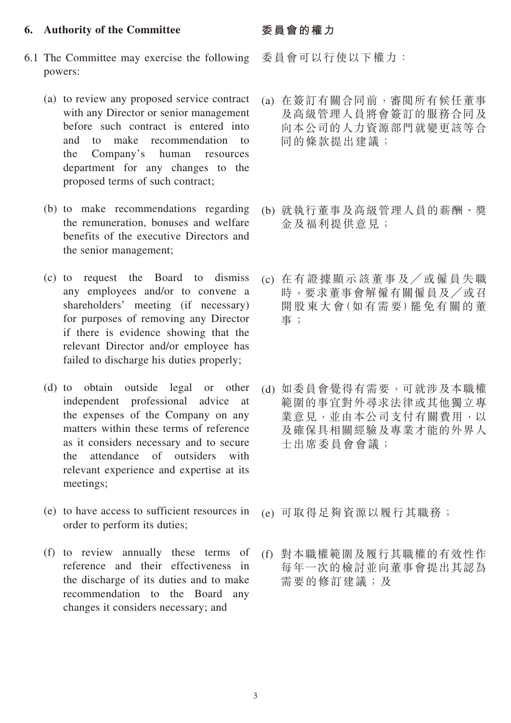#### **6. Authority of the Committee**

- 6.1 The Committee may exercise the following powers:
	- (a) to review any proposed service contract with any Director or senior management before such contract is entered into and to make recommendation to the Company's human resources department for any changes to the proposed terms of such contract;
	- (b) to make recommendations regarding the remuneration, bonuses and welfare benefits of the executive Directors and the senior management;
	- (c) to request the Board to dismiss any employees and/or to convene a shareholders' meeting (if necessary) for purposes of removing any Director if there is evidence showing that the relevant Director and/or employee has failed to discharge his duties properly;
	- (d) to obtain outside legal or other independent professional advice at the expenses of the Company on any matters within these terms of reference as it considers necessary and to secure the attendance of outsiders with relevant experience and expertise at its meetings;
	- (e) to have access to sufficient resources in order to perform its duties;
	- (f) to review annually these terms of reference and their effectiveness in the discharge of its duties and to make recommendation to the Board any changes it considers necessary; and

#### **委員會的權力**

委員會可以行使以下權力:

- (a) 在簽訂有關合同前,審閱所有候任董事 及高級管理人員將會簽訂的服務合同及 向本公司的人力資源部門就變更該等合 同的條款提出建議;
- (b) 就執行董事及高級管理人員的薪酬、獎 金及福利提供意見;
- (c) 在有證據顯示該董事及╱或僱員失職 時,要求董事會解僱有關僱員及╱或召 開股東大會(如有需要)罷免有關的董 事;
- (d) 如委員會覺得有需要,可就涉及本職權 範圍的事宜對外尋求法律或其他獨立專 業意見,並由本公司支付有關費用,以 及確保具相關經驗及專業才能的外界人 士出席委員會會議;
- (e) 可取得足夠資源以履行其職務;
- (f) 對本職權範圍及履行其職權的有效性作 每年一次的檢討並向董事會提出其認為 需要的修訂建議;及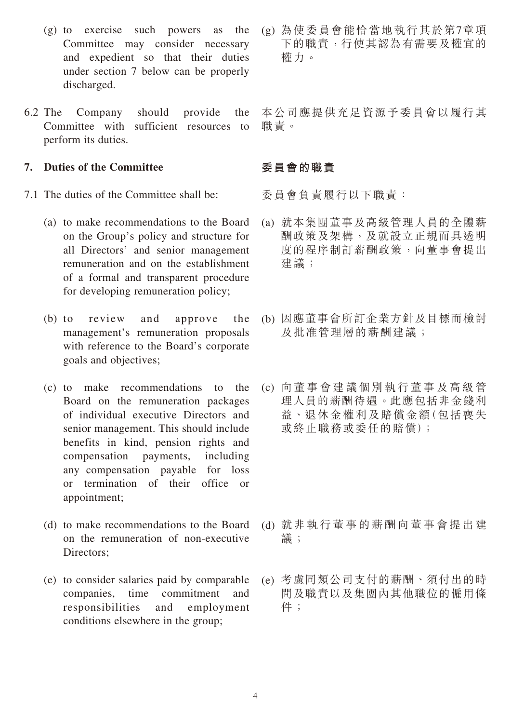- (g) to exercise such powers as the Committee may consider necessary and expedient so that their duties under section 7 below can be properly discharged.
- 6.2 The Company should provide the Committee with sufficient resources to perform its duties.

#### **7. Duties of the Committee**

- 7.1 The duties of the Committee shall be:
	- (a) to make recommendations to the Board on the Group's policy and structure for all Directors' and senior management remuneration and on the establishment of a formal and transparent procedure for developing remuneration policy;
	- (b) to review and approve the management's remuneration proposals with reference to the Board's corporate goals and objectives;
	- (c) to make recommendations to the Board on the remuneration packages of individual executive Directors and senior management. This should include benefits in kind, pension rights and compensation payments, including any compensation payable for loss or termination of their office or appointment;
	- (d) to make recommendations to the Board on the remuneration of non-executive Directors:
	- (e) to consider salaries paid by comparable companies, time commitment and responsibilities and employment conditions elsewhere in the group;

(g) 為使委員會能恰當地執行其於第7章項 下的職責,行使其認為有需要及權宜的 權力。

本公司應提供充足資源予委員會以履行其 職責。

## **委員會的職責**

委員會負責履行以下職責:

- (a) 就本集團董事及高級管理人員的全體薪 酬政策及架構,及就設立正規而具透明 度的程序制訂薪酬政策,向董事會提出 建議;
- (b) 因應董事會所訂企業方針及目標而檢討 及批准管理層的薪酬建議;
- (c) 向董事會建議個別執行董事及高級管 理人員的薪酬待遇。此應包括非金錢利 益、退休金權利及賠償金額(包括喪失 或終止職務或委任的賠償);

- (d) 就非執行董事的薪酬向董事會提出建 議;
- (e) 考慮同類公司支付的薪酬、須付出的時 間及職責以及集團內其他職位的僱用條 件;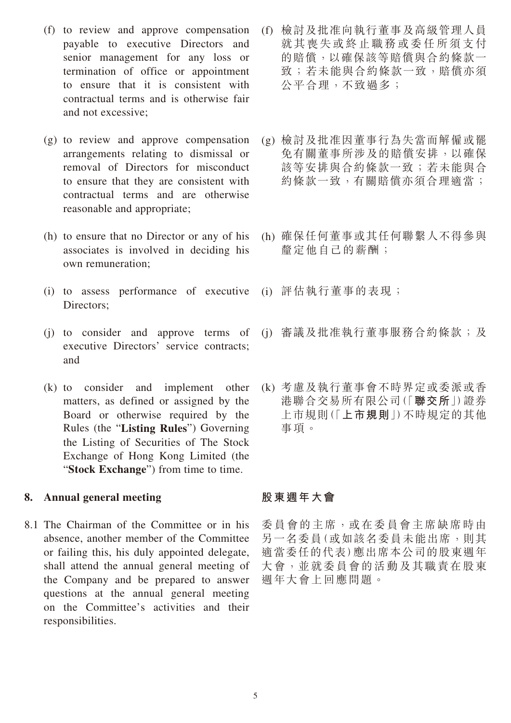- (f) to review and approve compensation payable to executive Directors and senior management for any loss or termination of office or appointment to ensure that it is consistent with contractual terms and is otherwise fair and not excessive;
- (g) to review and approve compensation arrangements relating to dismissal or removal of Directors for misconduct to ensure that they are consistent with contractual terms and are otherwise reasonable and appropriate;
- (h) to ensure that no Director or any of his associates is involved in deciding his own remuneration;
- (i) to assess performance of executive (i) 評估執行董事的表現; Directors;
- (j) to consider and approve terms of executive Directors' service contracts; and
- (k) to consider and implement other matters, as defined or assigned by the Board or otherwise required by the Rules (the "**Listing Rules**") Governing the Listing of Securities of The Stock Exchange of Hong Kong Limited (the "Stock Exchange") from time to time.

### **8. Annual general meeting**

8.1 The Chairman of the Committee or in his absence, another member of the Committee or failing this, his duly appointed delegate, shall attend the annual general meeting of the Company and be prepared to answer questions at the annual general meeting on the Committee's activities and their responsibilities.

- (f) 檢討及批准向執行董事及高級管理人員 就其喪失或終止職務或委任所須支付 的賠償,以確保該等賠償與合約條款一 致;若未能與合約條款一致,賠償亦須 公平合理,不致過多;
- (g) 檢討及批准因董事行為失當而解僱或罷 免有關董事所涉及的賠償安排,以確保 該等安排與合約條款一致;若未能與合 約條款一致,有關賠償亦須合理適當;
- (h) 確保任何董事或其任何聯繫人不得參與 釐定他自己的薪酬;
- 
- (i) 審議及批准執行董事服務合約條款;及
- (k) 考慮及執行董事會不時界定或委派或香 港聯合交易所有限公司(「**聯交所**」)證券 上市規則(「**上市規則**」)不時規定的其他 事項。

## **股東週年大會**

委員會的主席,或在委員會主席缺席時由 另一名委員(或如該名委員未能出席,則其 適當委任的代表)應出席本公司的股東週年 大會,並就委員會的活動及其職責在股東 週年大會上回應問題。